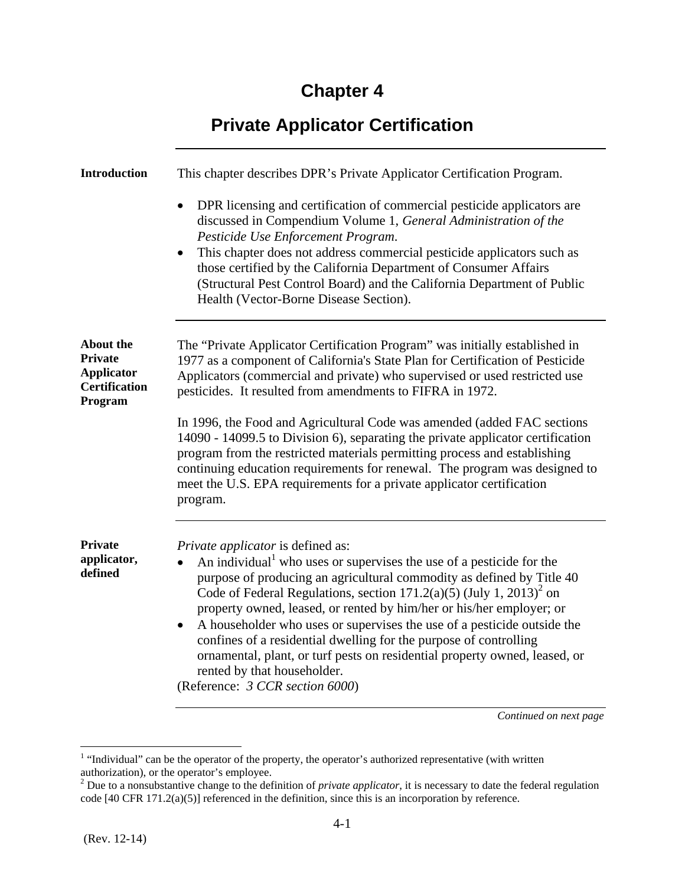## **Chapter 4**

## **Private Applicator Certification**

| <b>Introduction</b>                                                                        | This chapter describes DPR's Private Applicator Certification Program.                                                                                                                                                                                                                                                                                                                                                                                                                                                                                                                                                                                                                                                |
|--------------------------------------------------------------------------------------------|-----------------------------------------------------------------------------------------------------------------------------------------------------------------------------------------------------------------------------------------------------------------------------------------------------------------------------------------------------------------------------------------------------------------------------------------------------------------------------------------------------------------------------------------------------------------------------------------------------------------------------------------------------------------------------------------------------------------------|
|                                                                                            | DPR licensing and certification of commercial pesticide applicators are<br>$\bullet$<br>discussed in Compendium Volume 1, General Administration of the<br>Pesticide Use Enforcement Program.<br>This chapter does not address commercial pesticide applicators such as<br>$\bullet$<br>those certified by the California Department of Consumer Affairs<br>(Structural Pest Control Board) and the California Department of Public<br>Health (Vector-Borne Disease Section).                                                                                                                                                                                                                                         |
| <b>About the</b><br><b>Private</b><br><b>Applicator</b><br><b>Certification</b><br>Program | The "Private Applicator Certification Program" was initially established in<br>1977 as a component of California's State Plan for Certification of Pesticide<br>Applicators (commercial and private) who supervised or used restricted use<br>pesticides. It resulted from amendments to FIFRA in 1972.<br>In 1996, the Food and Agricultural Code was amended (added FAC sections<br>14090 - 14099.5 to Division 6), separating the private applicator certification<br>program from the restricted materials permitting process and establishing<br>continuing education requirements for renewal. The program was designed to<br>meet the U.S. EPA requirements for a private applicator certification<br>program. |
| <b>Private</b><br>applicator,<br>defined                                                   | <i>Private applicator</i> is defined as:<br>An individual <sup>1</sup> who uses or supervises the use of a pesticide for the<br>purpose of producing an agricultural commodity as defined by Title 40<br>Code of Federal Regulations, section $171.2(a)(5)$ (July 1, $2013)^2$ on<br>property owned, leased, or rented by him/her or his/her employer; or<br>A householder who uses or supervises the use of a pesticide outside the<br>$\bullet$<br>confines of a residential dwelling for the purpose of controlling<br>ornamental, plant, or turf pests on residential property owned, leased, or<br>rented by that householder.<br>(Reference: 3 CCR section 6000)                                                |

<sup>&</sup>lt;sup>1</sup> "Individual" can be the operator of the property, the operator's authorized representative (with written

authorization), or the operator's employee.<br><sup>2</sup> Due to a nonsubstantive change to the definition of *private applicator*, it is necessary to date the federal regulation code [40 CFR 171.2(a)(5)] referenced in the definition, since this is an incorporation by reference.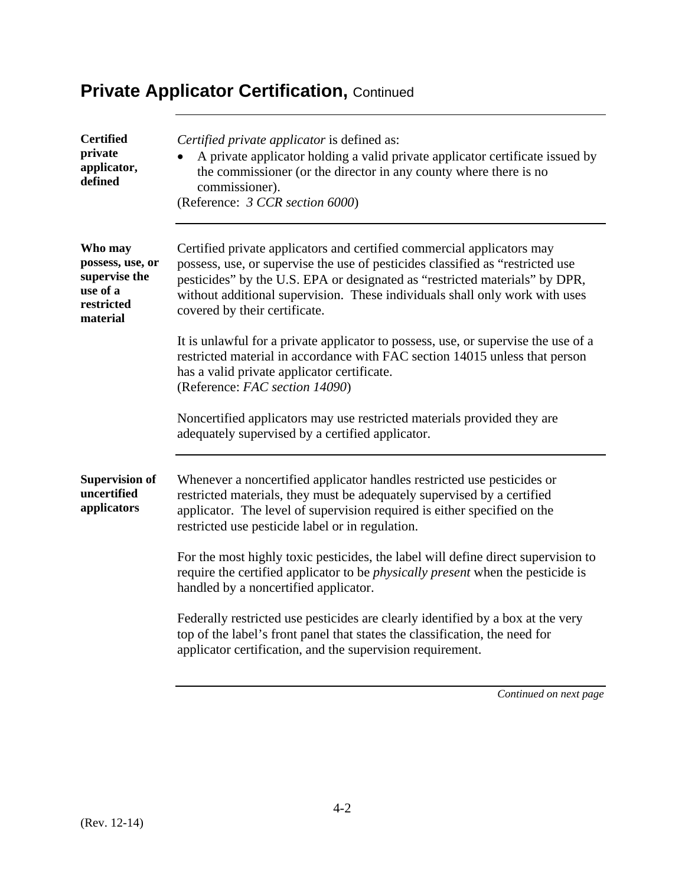| <b>Certified</b><br>private<br>applicator,<br>defined                              | Certified private applicator is defined as:<br>A private applicator holding a valid private applicator certificate issued by<br>the commissioner (or the director in any county where there is no<br>commissioner).<br>(Reference: 3 CCR section 6000)                                                                                                  |
|------------------------------------------------------------------------------------|---------------------------------------------------------------------------------------------------------------------------------------------------------------------------------------------------------------------------------------------------------------------------------------------------------------------------------------------------------|
| Who may<br>possess, use, or<br>supervise the<br>use of a<br>restricted<br>material | Certified private applicators and certified commercial applicators may<br>possess, use, or supervise the use of pesticides classified as "restricted use<br>pesticides" by the U.S. EPA or designated as "restricted materials" by DPR,<br>without additional supervision. These individuals shall only work with uses<br>covered by their certificate. |
|                                                                                    | It is unlawful for a private applicator to possess, use, or supervise the use of a<br>restricted material in accordance with FAC section 14015 unless that person<br>has a valid private applicator certificate.<br>(Reference: FAC section 14090)                                                                                                      |
|                                                                                    | Noncertified applicators may use restricted materials provided they are<br>adequately supervised by a certified applicator.                                                                                                                                                                                                                             |
| <b>Supervision of</b><br>uncertified<br>applicators                                | Whenever a noncertified applicator handles restricted use pesticides or<br>restricted materials, they must be adequately supervised by a certified<br>applicator. The level of supervision required is either specified on the<br>restricted use pesticide label or in regulation.                                                                      |
|                                                                                    | For the most highly toxic pesticides, the label will define direct supervision to<br>require the certified applicator to be <i>physically present</i> when the pesticide is<br>handled by a noncertified applicator.                                                                                                                                    |
|                                                                                    | Federally restricted use pesticides are clearly identified by a box at the very<br>top of the label's front panel that states the classification, the need for<br>applicator certification, and the supervision requirement.                                                                                                                            |
|                                                                                    |                                                                                                                                                                                                                                                                                                                                                         |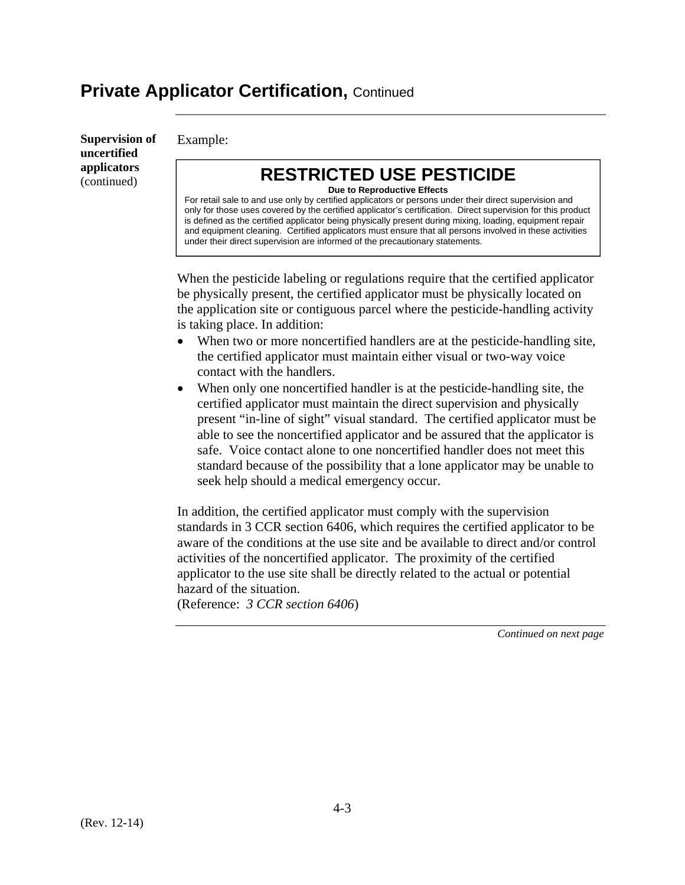**Supervision of uncertified applicators**  (continued)

Example:

### **RESTRICTED USE PESTICIDE**

**Due to Reproductive Effects**  For retail sale to and use only by certified applicators or persons under their direct supervision and only for those uses covered by the certified applicator's certification. Direct supervision for this product is defined as the certified applicator being physically present during mixing, loading, equipment repair and equipment cleaning. Certified applicators must ensure that all persons involved in these activities under their direct supervision are informed of the precautionary statements.

When the pesticide labeling or regulations require that the certified applicator be physically present, the certified applicator must be physically located on the application site or contiguous parcel where the pesticide-handling activity is taking place. In addition:

- When two or more noncertified handlers are at the pesticide-handling site, the certified applicator must maintain either visual or two-way voice contact with the handlers.
- When only one noncertified handler is at the pesticide-handling site, the certified applicator must maintain the direct supervision and physically present "in-line of sight" visual standard. The certified applicator must be able to see the noncertified applicator and be assured that the applicator is safe. Voice contact alone to one noncertified handler does not meet this standard because of the possibility that a lone applicator may be unable to seek help should a medical emergency occur.

In addition, the certified applicator must comply with the supervision standards in 3 CCR section 6406, which requires the certified applicator to be aware of the conditions at the use site and be available to direct and/or control activities of the noncertified applicator. The proximity of the certified applicator to the use site shall be directly related to the actual or potential hazard of the situation.

(Reference: *3 CCR section 6406*)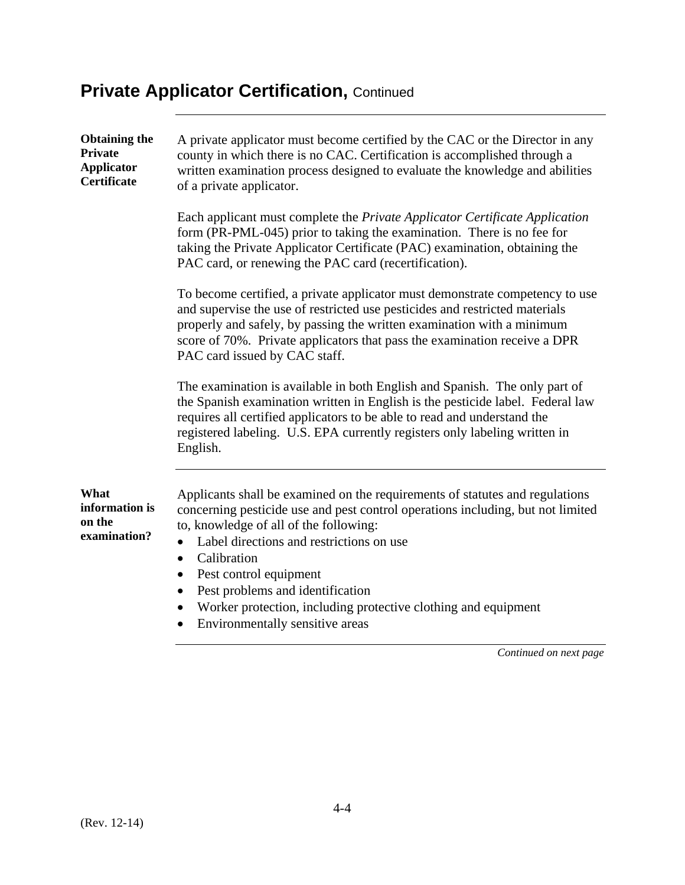| <b>Obtaining the</b><br><b>Private</b><br><b>Applicator</b><br>Certificate | A private applicator must become certified by the CAC or the Director in any<br>county in which there is no CAC. Certification is accomplished through a<br>written examination process designed to evaluate the knowledge and abilities<br>of a private applicator.                                                                                                                                                                                                  |
|----------------------------------------------------------------------------|-----------------------------------------------------------------------------------------------------------------------------------------------------------------------------------------------------------------------------------------------------------------------------------------------------------------------------------------------------------------------------------------------------------------------------------------------------------------------|
|                                                                            | Each applicant must complete the Private Applicator Certificate Application<br>form (PR-PML-045) prior to taking the examination. There is no fee for<br>taking the Private Applicator Certificate (PAC) examination, obtaining the<br>PAC card, or renewing the PAC card (recertification).                                                                                                                                                                          |
|                                                                            | To become certified, a private applicator must demonstrate competency to use<br>and supervise the use of restricted use pesticides and restricted materials<br>properly and safely, by passing the written examination with a minimum<br>score of 70%. Private applicators that pass the examination receive a DPR<br>PAC card issued by CAC staff.                                                                                                                   |
|                                                                            | The examination is available in both English and Spanish. The only part of<br>the Spanish examination written in English is the pesticide label. Federal law<br>requires all certified applicators to be able to read and understand the<br>registered labeling. U.S. EPA currently registers only labeling written in<br>English.                                                                                                                                    |
| What<br>information is<br>on the<br>examination?                           | Applicants shall be examined on the requirements of statutes and regulations<br>concerning pesticide use and pest control operations including, but not limited<br>to, knowledge of all of the following:<br>Label directions and restrictions on use<br>$\bullet$<br>Calibration<br>$\bullet$<br>Pest control equipment<br>$\bullet$<br>Pest problems and identification<br>$\bullet$<br>Worker protection, including protective clothing and equipment<br>$\bullet$ |

Environmentally sensitive areas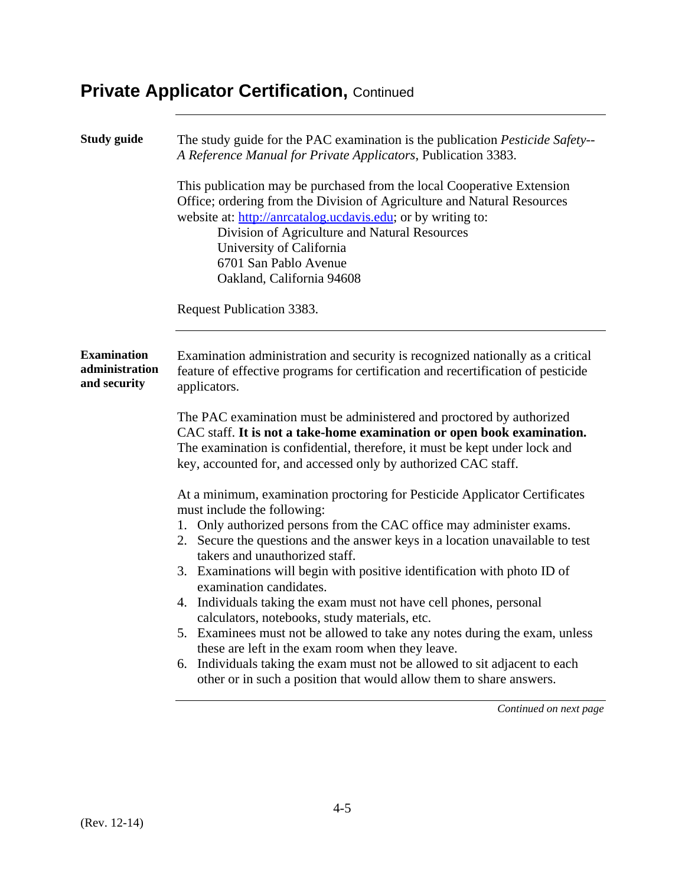| <b>Study guide</b>                                   | The study guide for the PAC examination is the publication Pesticide Safety--<br>A Reference Manual for Private Applicators, Publication 3383.                                                                                                                                                                                                                                                                                                                                                                                                                                                                                                                                                                                                                                                                            |
|------------------------------------------------------|---------------------------------------------------------------------------------------------------------------------------------------------------------------------------------------------------------------------------------------------------------------------------------------------------------------------------------------------------------------------------------------------------------------------------------------------------------------------------------------------------------------------------------------------------------------------------------------------------------------------------------------------------------------------------------------------------------------------------------------------------------------------------------------------------------------------------|
|                                                      | This publication may be purchased from the local Cooperative Extension<br>Office; ordering from the Division of Agriculture and Natural Resources<br>website at: http://anrcatalog.ucdavis.edu; or by writing to:<br>Division of Agriculture and Natural Resources<br>University of California<br>6701 San Pablo Avenue<br>Oakland, California 94608<br>Request Publication 3383.                                                                                                                                                                                                                                                                                                                                                                                                                                         |
| <b>Examination</b><br>administration<br>and security | Examination administration and security is recognized nationally as a critical<br>feature of effective programs for certification and recertification of pesticide<br>applicators.                                                                                                                                                                                                                                                                                                                                                                                                                                                                                                                                                                                                                                        |
|                                                      | The PAC examination must be administered and proctored by authorized<br>CAC staff. It is not a take-home examination or open book examination.<br>The examination is confidential, therefore, it must be kept under lock and<br>key, accounted for, and accessed only by authorized CAC staff.                                                                                                                                                                                                                                                                                                                                                                                                                                                                                                                            |
|                                                      | At a minimum, examination proctoring for Pesticide Applicator Certificates<br>must include the following:<br>1. Only authorized persons from the CAC office may administer exams.<br>2. Secure the questions and the answer keys in a location unavailable to test<br>takers and unauthorized staff.<br>3. Examinations will begin with positive identification with photo ID of<br>examination candidates.<br>4. Individuals taking the exam must not have cell phones, personal<br>calculators, notebooks, study materials, etc.<br>5. Examinees must not be allowed to take any notes during the exam, unless<br>these are left in the exam room when they leave.<br>6. Individuals taking the exam must not be allowed to sit adjacent to each<br>other or in such a position that would allow them to share answers. |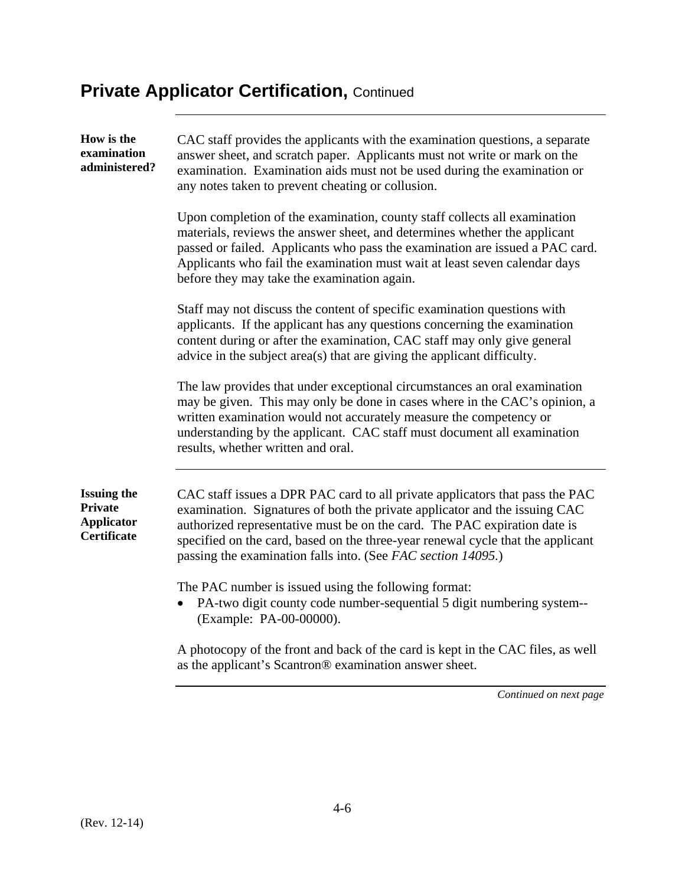| How is the<br>examination<br>administered?                                      | CAC staff provides the applicants with the examination questions, a separate<br>answer sheet, and scratch paper. Applicants must not write or mark on the<br>examination. Examination aids must not be used during the examination or<br>any notes taken to prevent cheating or collusion.                                                                                                 |
|---------------------------------------------------------------------------------|--------------------------------------------------------------------------------------------------------------------------------------------------------------------------------------------------------------------------------------------------------------------------------------------------------------------------------------------------------------------------------------------|
|                                                                                 | Upon completion of the examination, county staff collects all examination<br>materials, reviews the answer sheet, and determines whether the applicant<br>passed or failed. Applicants who pass the examination are issued a PAC card.<br>Applicants who fail the examination must wait at least seven calendar days<br>before they may take the examination again.                        |
|                                                                                 | Staff may not discuss the content of specific examination questions with<br>applicants. If the applicant has any questions concerning the examination<br>content during or after the examination, CAC staff may only give general<br>advice in the subject area(s) that are giving the applicant difficulty.                                                                               |
|                                                                                 | The law provides that under exceptional circumstances an oral examination<br>may be given. This may only be done in cases where in the CAC's opinion, a<br>written examination would not accurately measure the competency or<br>understanding by the applicant. CAC staff must document all examination<br>results, whether written and oral.                                             |
| <b>Issuing the</b><br><b>Private</b><br><b>Applicator</b><br><b>Certificate</b> | CAC staff issues a DPR PAC card to all private applicators that pass the PAC<br>examination. Signatures of both the private applicator and the issuing CAC<br>authorized representative must be on the card. The PAC expiration date is<br>specified on the card, based on the three-year renewal cycle that the applicant<br>passing the examination falls into. (See FAC section 14095.) |
|                                                                                 | The PAC number is issued using the following format:<br>PA-two digit county code number-sequential 5 digit numbering system--<br>(Example: PA-00-00000).                                                                                                                                                                                                                                   |
|                                                                                 | A photocopy of the front and back of the card is kept in the CAC files, as well<br>as the applicant's Scantron® examination answer sheet.                                                                                                                                                                                                                                                  |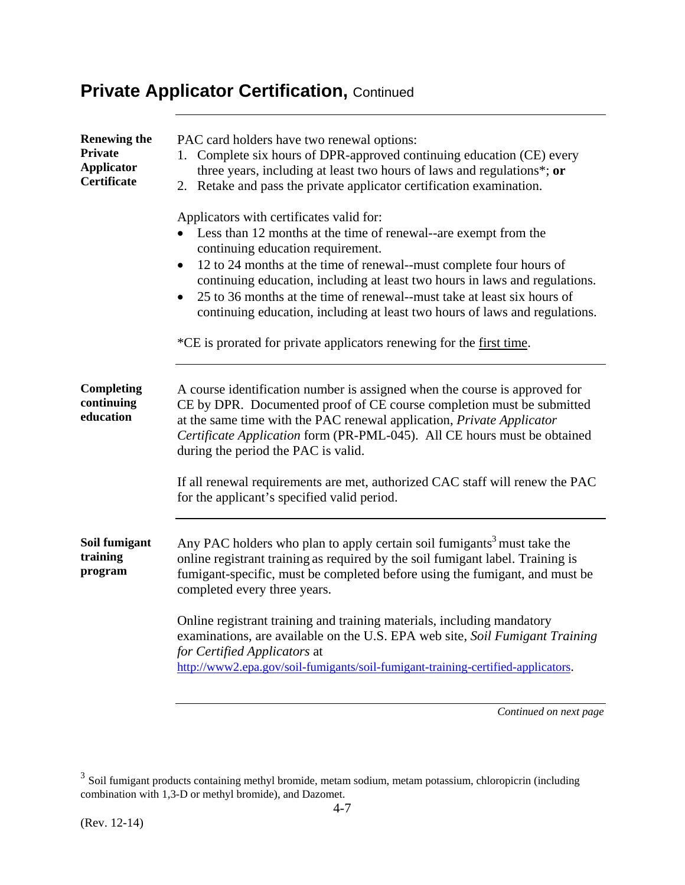| <b>Renewing the</b><br><b>Private</b><br><b>Applicator</b><br>Certificate | PAC card holders have two renewal options:<br>1. Complete six hours of DPR-approved continuing education (CE) every<br>three years, including at least two hours of laws and regulations*; or<br>Retake and pass the private applicator certification examination.<br>2.                                                                                                                                                                                                                                                                                           |
|---------------------------------------------------------------------------|--------------------------------------------------------------------------------------------------------------------------------------------------------------------------------------------------------------------------------------------------------------------------------------------------------------------------------------------------------------------------------------------------------------------------------------------------------------------------------------------------------------------------------------------------------------------|
|                                                                           | Applicators with certificates valid for:<br>Less than 12 months at the time of renewal--are exempt from the<br>continuing education requirement.<br>12 to 24 months at the time of renewal--must complete four hours of<br>$\bullet$<br>continuing education, including at least two hours in laws and regulations.<br>25 to 36 months at the time of renewal--must take at least six hours of<br>$\bullet$<br>continuing education, including at least two hours of laws and regulations.<br>*CE is prorated for private applicators renewing for the first time. |
| <b>Completing</b><br>continuing<br>education                              | A course identification number is assigned when the course is approved for<br>CE by DPR. Documented proof of CE course completion must be submitted<br>at the same time with the PAC renewal application, Private Applicator<br>Certificate Application form (PR-PML-045). All CE hours must be obtained<br>during the period the PAC is valid.<br>If all renewal requirements are met, authorized CAC staff will renew the PAC<br>for the applicant's specified valid period.                                                                                     |
| Soil fumigant<br>training<br>program                                      | Any PAC holders who plan to apply certain soil fumigants <sup>3</sup> must take the<br>online registrant training as required by the soil fumigant label. Training is<br>fumigant-specific, must be completed before using the fumigant, and must be<br>completed every three years.<br>Online registrant training and training materials, including mandatory<br>examinations, are available on the U.S. EPA web site, Soil Fumigant Training<br>for Certified Applicators at<br>http://www2.epa.gov/soil-fumigants/soil-fumigant-training-certified-applicators. |

 $3$  Soil fumigant products containing methyl bromide, metam sodium, metam potassium, chloropicrin (including combination with 1,3-D or methyl bromide), and Dazomet.